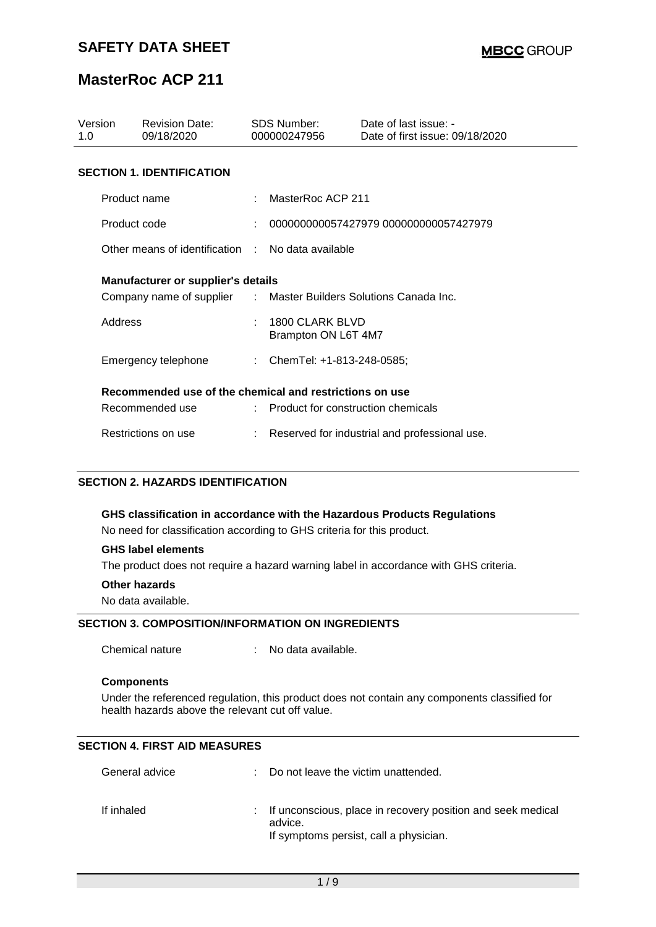| Version<br>1. $\Omega$ |                                                         | <b>Revision Date:</b><br>09/18/2020               | SDS Number:<br>000000247956            | Date of last issue: -<br>Date of first issue: 09/18/2020 |  |
|------------------------|---------------------------------------------------------|---------------------------------------------------|----------------------------------------|----------------------------------------------------------|--|
|                        |                                                         | <b>SECTION 1. IDENTIFICATION</b>                  |                                        |                                                          |  |
|                        | Product name                                            |                                                   | MasterRoc ACP 211                      |                                                          |  |
|                        | Product code                                            |                                                   | 000000000057427979 000000000057427979  |                                                          |  |
|                        |                                                         | Other means of identification . No data available |                                        |                                                          |  |
|                        | <b>Manufacturer or supplier's details</b>               |                                                   |                                        |                                                          |  |
|                        |                                                         | Company name of supplier :                        |                                        | Master Builders Solutions Canada Inc.                    |  |
|                        | Address                                                 |                                                   | 1800 CLARK BLVD<br>Brampton ON L6T 4M7 |                                                          |  |
|                        |                                                         | Emergency telephone                               | : ChemTel: +1-813-248-0585;            |                                                          |  |
|                        | Recommended use of the chemical and restrictions on use |                                                   |                                        |                                                          |  |
|                        |                                                         | Recommended use                                   | : Product for construction chemicals   |                                                          |  |
|                        |                                                         | Restrictions on use                               |                                        | Reserved for industrial and professional use.            |  |

### **SECTION 2. HAZARDS IDENTIFICATION**

**GHS classification in accordance with the Hazardous Products Regulations** No need for classification according to GHS criteria for this product.

### **GHS label elements**

The product does not require a hazard warning label in accordance with GHS criteria.

#### **Other hazards**

No data available.

### **SECTION 3. COMPOSITION/INFORMATION ON INGREDIENTS**

Chemical nature : No data available.

#### **Components**

Under the referenced regulation, this product does not contain any components classified for health hazards above the relevant cut off value.

### **SECTION 4. FIRST AID MEASURES**

| General advice | : Do not leave the victim unattended.                                                                              |
|----------------|--------------------------------------------------------------------------------------------------------------------|
| If inhaled     | : If unconscious, place in recovery position and seek medical<br>advice.<br>If symptoms persist, call a physician. |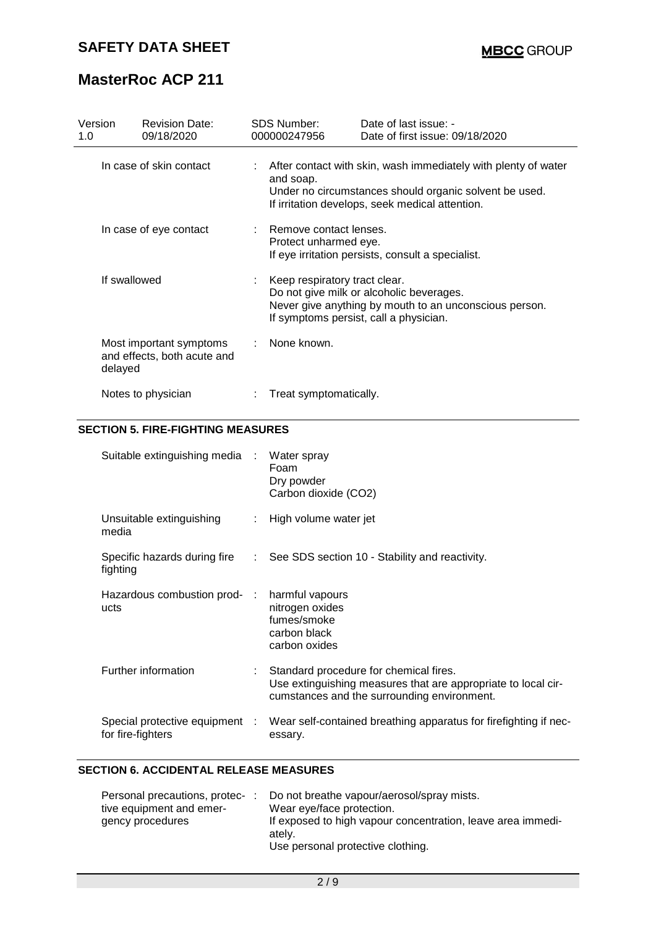| Version<br>1.0 | <b>Revision Date:</b><br>09/18/2020                    | <b>SDS Number:</b><br>000000247956                | Date of last issue: -<br>Date of first issue: 09/18/2020                                                                                                                    |
|----------------|--------------------------------------------------------|---------------------------------------------------|-----------------------------------------------------------------------------------------------------------------------------------------------------------------------------|
|                | In case of skin contact                                | and soap.                                         | After contact with skin, wash immediately with plenty of water<br>Under no circumstances should organic solvent be used.<br>If irritation develops, seek medical attention. |
|                | In case of eye contact                                 | : Remove contact lenses.<br>Protect unharmed eye. | If eye irritation persists, consult a specialist.                                                                                                                           |
| If swallowed   |                                                        | Keep respiratory tract clear.                     | Do not give milk or alcoholic beverages.<br>Never give anything by mouth to an unconscious person.<br>If symptoms persist, call a physician.                                |
| delayed        | Most important symptoms<br>and effects, both acute and | None known.                                       |                                                                                                                                                                             |
|                | Notes to physician                                     | Treat symptomatically.                            |                                                                                                                                                                             |

### **SECTION 5. FIRE-FIGHTING MEASURES**

| Suitable extinguishing media :                      | Water spray<br>Foam<br>Dry powder<br>Carbon dioxide (CO2)                                                                                                |
|-----------------------------------------------------|----------------------------------------------------------------------------------------------------------------------------------------------------------|
| Unsuitable extinguishing<br>media                   | : High volume water jet                                                                                                                                  |
| fighting                                            | Specific hazards during fire : See SDS section 10 - Stability and reactivity.                                                                            |
| Hazardous combustion prod- :<br>ucts                | harmful vapours<br>nitrogen oxides<br>fumes/smoke<br>carbon black<br>carbon oxides                                                                       |
| Further information                                 | : Standard procedure for chemical fires.<br>Use extinguishing measures that are appropriate to local cir-<br>cumstances and the surrounding environment. |
| Special protective equipment :<br>for fire-fighters | Wear self-contained breathing apparatus for firefighting if nec-<br>essary.                                                                              |

### **SECTION 6. ACCIDENTAL RELEASE MEASURES**

| Personal precautions, protec- | Do not breathe vapour/aerosol/spray mists.                                                                 |
|-------------------------------|------------------------------------------------------------------------------------------------------------|
| tive equipment and emer-      | Wear eye/face protection.                                                                                  |
| gency procedures              | If exposed to high vapour concentration, leave area immedi-<br>ately.<br>Use personal protective clothing. |
|                               |                                                                                                            |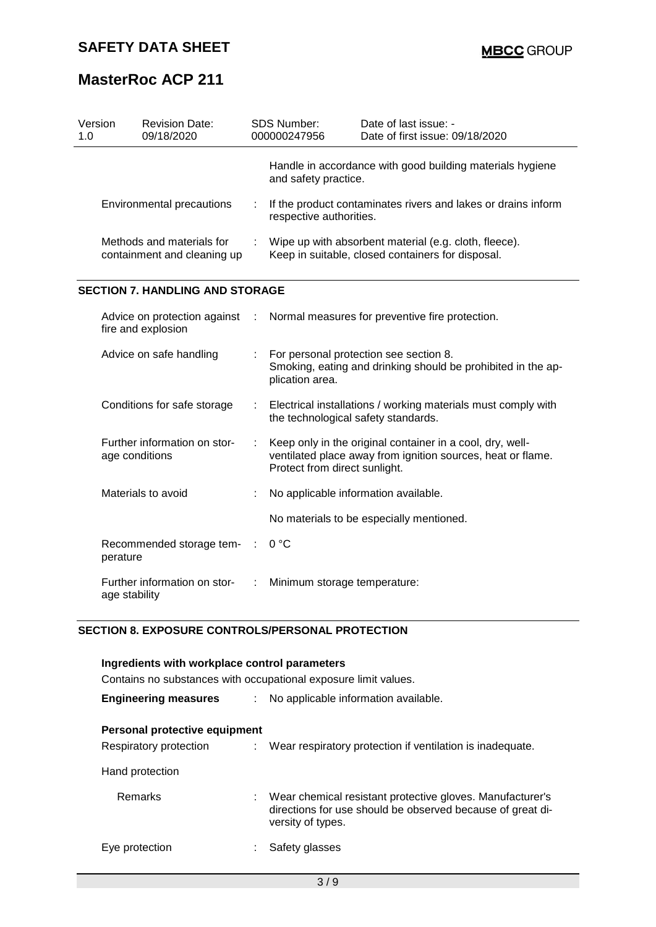| Version<br>1.0 |                                                                                       | <b>Revision Date:</b><br>09/18/2020    |    | SDS Number:<br>000000247956                                                                                | Date of last issue: -<br>Date of first issue: 09/18/2020                                                                 |  |
|----------------|---------------------------------------------------------------------------------------|----------------------------------------|----|------------------------------------------------------------------------------------------------------------|--------------------------------------------------------------------------------------------------------------------------|--|
|                |                                                                                       |                                        |    | and safety practice.                                                                                       | Handle in accordance with good building materials hygiene                                                                |  |
|                |                                                                                       | Environmental precautions              |    | If the product contaminates rivers and lakes or drains inform<br>respective authorities.                   |                                                                                                                          |  |
|                | Methods and materials for<br>containment and cleaning up                              |                                        |    | Wipe up with absorbent material (e.g. cloth, fleece).<br>Keep in suitable, closed containers for disposal. |                                                                                                                          |  |
|                |                                                                                       | <b>SECTION 7. HANDLING AND STORAGE</b> |    |                                                                                                            |                                                                                                                          |  |
|                | Advice on protection against<br>fire and explosion                                    |                                        | ÷  |                                                                                                            | Normal measures for preventive fire protection.                                                                          |  |
|                | Advice on safe handling<br>Conditions for safe storage                                |                                        |    | plication area.                                                                                            | For personal protection see section 8.<br>Smoking, eating and drinking should be prohibited in the ap-                   |  |
|                |                                                                                       |                                        | ÷. | the technological safety standards.                                                                        | Electrical installations / working materials must comply with                                                            |  |
|                | Further information on stor-<br>age conditions                                        |                                        | ÷  | Protect from direct sunlight.                                                                              | Keep only in the original container in a cool, dry, well-<br>ventilated place away from ignition sources, heat or flame. |  |
|                | Materials to avoid                                                                    |                                        |    | No applicable information available.                                                                       |                                                                                                                          |  |
|                |                                                                                       |                                        |    |                                                                                                            | No materials to be especially mentioned.                                                                                 |  |
|                | Recommended storage tem-<br>perature<br>Further information on stor-<br>age stability |                                        |    | 0 °C                                                                                                       |                                                                                                                          |  |
|                |                                                                                       |                                        |    | Minimum storage temperature:                                                                               |                                                                                                                          |  |

### **SECTION 8. EXPOSURE CONTROLS/PERSONAL PROTECTION**

| Ingredients with workplace control parameters                   |      |                                                                                                                                              |  |  |  |  |
|-----------------------------------------------------------------|------|----------------------------------------------------------------------------------------------------------------------------------------------|--|--|--|--|
| Contains no substances with occupational exposure limit values. |      |                                                                                                                                              |  |  |  |  |
| <b>Engineering measures</b>                                     | t in | No applicable information available.                                                                                                         |  |  |  |  |
| Personal protective equipment<br>Respiratory protection         |      | : Wear respiratory protection if ventilation is inadequate.                                                                                  |  |  |  |  |
| Hand protection                                                 |      |                                                                                                                                              |  |  |  |  |
| Remarks                                                         |      | Wear chemical resistant protective gloves. Manufacturer's<br>directions for use should be observed because of great di-<br>versity of types. |  |  |  |  |
| Eye protection                                                  |      | Safety glasses                                                                                                                               |  |  |  |  |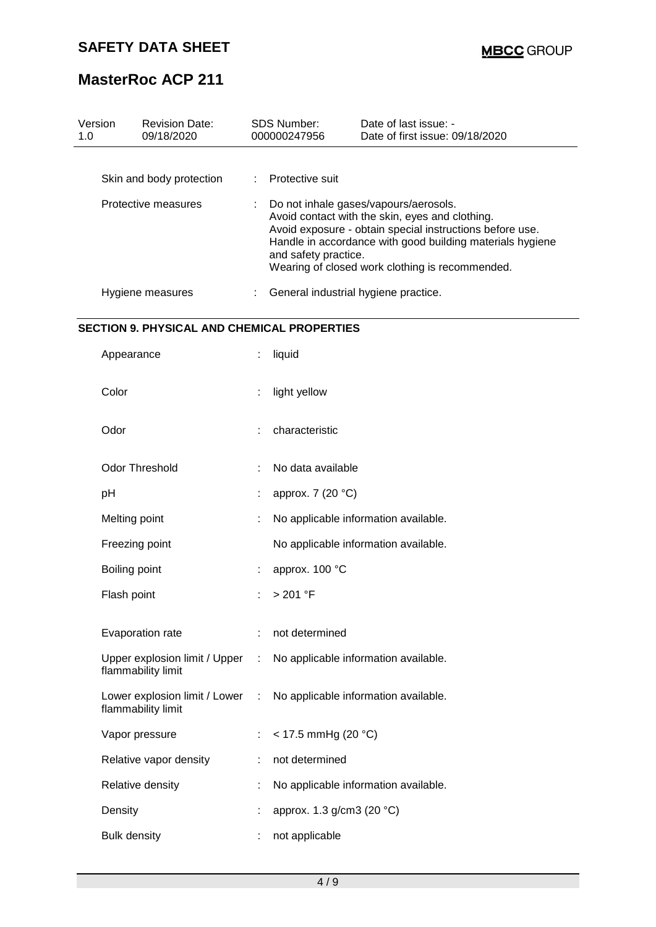# **SAFETY DATA SHEET**

 $\overline{\phantom{a}}$ 

# **MasterRoc ACP 211**

| 1.0 | Version<br><b>Revision Date:</b><br>09/18/2020      |   | <b>SDS Number:</b><br>000000247956                                                                                                                                                                                                                                                           | Date of last issue: -<br>Date of first issue: 09/18/2020 |  |
|-----|-----------------------------------------------------|---|----------------------------------------------------------------------------------------------------------------------------------------------------------------------------------------------------------------------------------------------------------------------------------------------|----------------------------------------------------------|--|
|     |                                                     |   |                                                                                                                                                                                                                                                                                              |                                                          |  |
|     | Skin and body protection                            |   | Protective suit                                                                                                                                                                                                                                                                              |                                                          |  |
|     | Protective measures                                 |   | Do not inhale gases/vapours/aerosols.<br>Avoid contact with the skin, eyes and clothing.<br>Avoid exposure - obtain special instructions before use.<br>Handle in accordance with good building materials hygiene<br>and safety practice.<br>Wearing of closed work clothing is recommended. |                                                          |  |
|     | Hygiene measures                                    |   | General industrial hygiene practice.                                                                                                                                                                                                                                                         |                                                          |  |
|     | <b>SECTION 9. PHYSICAL AND CHEMICAL PROPERTIES</b>  |   |                                                                                                                                                                                                                                                                                              |                                                          |  |
|     | Appearance                                          | ÷ | liquid                                                                                                                                                                                                                                                                                       |                                                          |  |
|     | Color                                               |   | light yellow                                                                                                                                                                                                                                                                                 |                                                          |  |
|     | Odor                                                |   | characteristic                                                                                                                                                                                                                                                                               |                                                          |  |
|     | <b>Odor Threshold</b>                               |   | No data available                                                                                                                                                                                                                                                                            |                                                          |  |
|     | pH                                                  |   | approx. 7 (20 °C)                                                                                                                                                                                                                                                                            |                                                          |  |
|     | Melting point                                       |   |                                                                                                                                                                                                                                                                                              | No applicable information available.                     |  |
|     | Freezing point                                      |   |                                                                                                                                                                                                                                                                                              | No applicable information available.                     |  |
|     | Boiling point                                       |   | approx. 100 °C                                                                                                                                                                                                                                                                               |                                                          |  |
|     | Flash point                                         |   | > 201 °F                                                                                                                                                                                                                                                                                     |                                                          |  |
|     | Evaporation rate                                    |   | not determined                                                                                                                                                                                                                                                                               |                                                          |  |
|     | Upper explosion limit / Upper<br>flammability limit | ÷ |                                                                                                                                                                                                                                                                                              | No applicable information available.                     |  |
|     | Lower explosion limit / Lower<br>flammability limit | ÷ |                                                                                                                                                                                                                                                                                              | No applicable information available.                     |  |
|     | Vapor pressure                                      |   | $<$ 17.5 mmHg (20 °C)                                                                                                                                                                                                                                                                        |                                                          |  |
|     | Relative vapor density                              |   | not determined                                                                                                                                                                                                                                                                               |                                                          |  |
|     | Relative density                                    |   |                                                                                                                                                                                                                                                                                              | No applicable information available.                     |  |
|     | Density                                             |   | approx. 1.3 g/cm3 (20 °C)                                                                                                                                                                                                                                                                    |                                                          |  |
|     | <b>Bulk density</b>                                 |   | not applicable                                                                                                                                                                                                                                                                               |                                                          |  |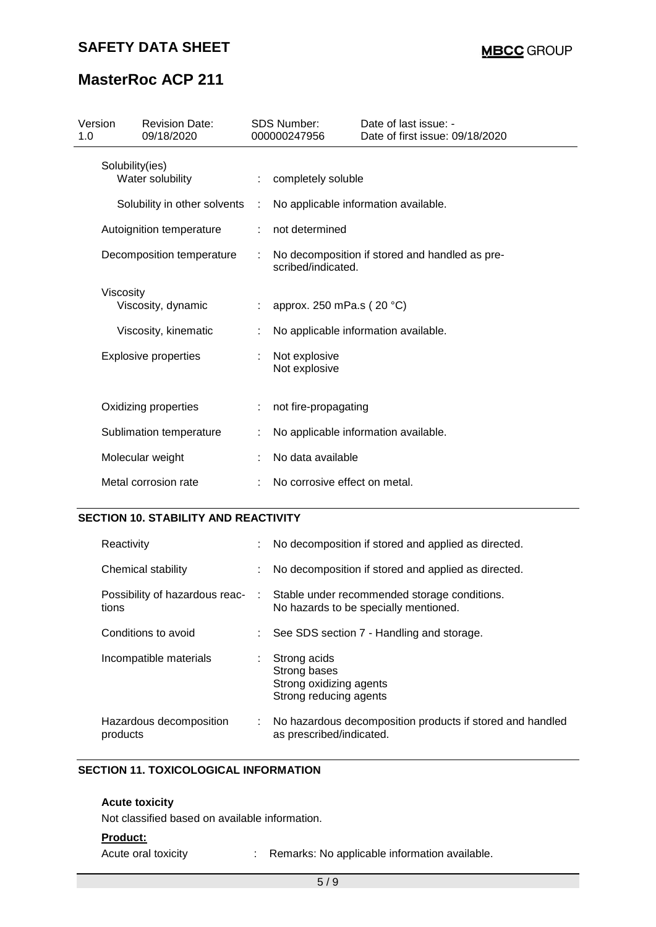### **SAFETY DATA SHEET**

# **MasterRoc ACP 211**

| Version                             |                           | <b>Revision Date:</b>        |                                | <b>SDS Number:</b>            | Date of last issue: -                          |
|-------------------------------------|---------------------------|------------------------------|--------------------------------|-------------------------------|------------------------------------------------|
| 1.0                                 |                           | 09/18/2020                   |                                | 000000247956                  | Date of first issue: 09/18/2020                |
| Solubility(ies)<br>Water solubility |                           |                              | completely soluble             |                               |                                                |
|                                     |                           | Solubility in other solvents | ÷                              |                               | No applicable information available.           |
|                                     |                           | Autoignition temperature     |                                | not determined                |                                                |
|                                     | Decomposition temperature |                              |                                | scribed/indicated.            | No decomposition if stored and handled as pre- |
|                                     | Viscosity                 | Viscosity, dynamic           |                                | approx. 250 mPa.s (20 °C)     |                                                |
|                                     |                           | Viscosity, kinematic         |                                |                               | No applicable information available.           |
| <b>Explosive properties</b>         |                           |                              | Not explosive<br>Not explosive |                               |                                                |
|                                     |                           | Oxidizing properties         |                                | not fire-propagating          |                                                |
|                                     |                           | Sublimation temperature      |                                |                               | No applicable information available.           |
|                                     |                           | Molecular weight             |                                | No data available             |                                                |
|                                     |                           | Metal corrosion rate         |                                | No corrosive effect on metal. |                                                |
|                                     |                           |                              |                                |                               |                                                |

### **SECTION 10. STABILITY AND REACTIVITY**

| Reactivity                              |               | No decomposition if stored and applied as directed.                                   |
|-----------------------------------------|---------------|---------------------------------------------------------------------------------------|
| Chemical stability                      |               | No decomposition if stored and applied as directed.                                   |
| Possibility of hazardous reac-<br>tions | $\mathcal{L}$ | Stable under recommended storage conditions.<br>No hazards to be specially mentioned. |
| Conditions to avoid                     |               | See SDS section 7 - Handling and storage.                                             |
| Incompatible materials                  | ÷.            | Strong acids<br>Strong bases<br>Strong oxidizing agents<br>Strong reducing agents     |
| Hazardous decomposition<br>products     | ÷.            | No hazardous decomposition products if stored and handled<br>as prescribed/indicated. |

### **SECTION 11. TOXICOLOGICAL INFORMATION**

### **Acute toxicity**

Not classified based on available information.

#### **Product:**

Acute oral toxicity : Remarks: No applicable information available.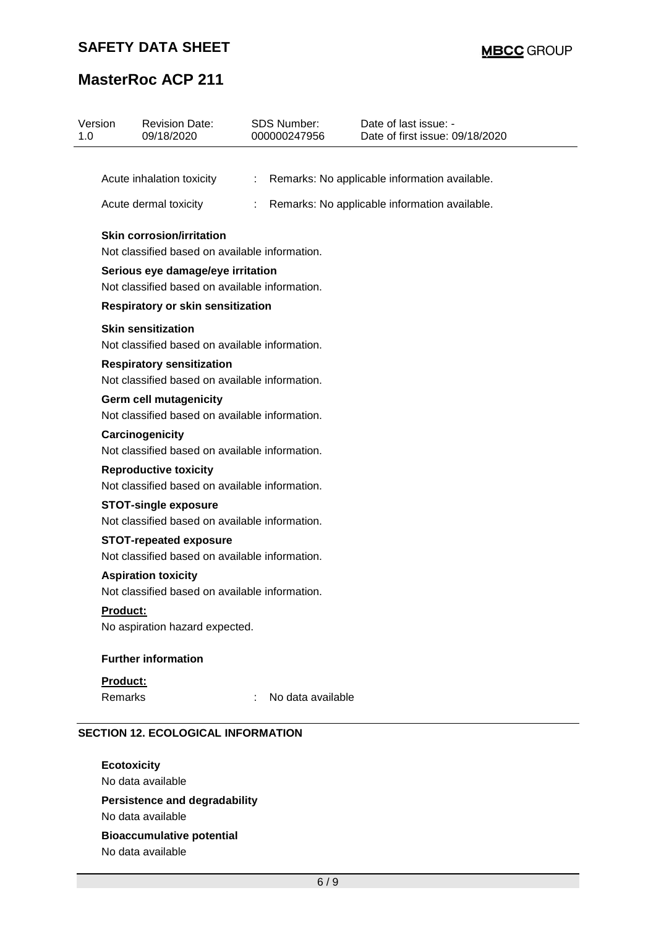### **SAFETY DATA SHEET**

# **MasterRoc ACP 211**

| Version<br>1.0                                                                     | <b>Revision Date:</b><br>09/18/2020                                                 |   | <b>SDS Number:</b><br>000000247956 | Date of last issue: -<br>Date of first issue: 09/18/2020 |  |  |
|------------------------------------------------------------------------------------|-------------------------------------------------------------------------------------|---|------------------------------------|----------------------------------------------------------|--|--|
|                                                                                    | Acute inhalation toxicity                                                           | ÷ |                                    | Remarks: No applicable information available.            |  |  |
|                                                                                    | Acute dermal toxicity                                                               | ÷ |                                    | Remarks: No applicable information available.            |  |  |
| <b>Skin corrosion/irritation</b><br>Not classified based on available information. |                                                                                     |   |                                    |                                                          |  |  |
|                                                                                    | Serious eye damage/eye irritation<br>Not classified based on available information. |   |                                    |                                                          |  |  |
|                                                                                    | Respiratory or skin sensitization                                                   |   |                                    |                                                          |  |  |
|                                                                                    | <b>Skin sensitization</b><br>Not classified based on available information.         |   |                                    |                                                          |  |  |
|                                                                                    | <b>Respiratory sensitization</b><br>Not classified based on available information.  |   |                                    |                                                          |  |  |
|                                                                                    | <b>Germ cell mutagenicity</b><br>Not classified based on available information.     |   |                                    |                                                          |  |  |
|                                                                                    | Carcinogenicity<br>Not classified based on available information.                   |   |                                    |                                                          |  |  |
|                                                                                    | <b>Reproductive toxicity</b><br>Not classified based on available information.      |   |                                    |                                                          |  |  |
|                                                                                    | <b>STOT-single exposure</b><br>Not classified based on available information.       |   |                                    |                                                          |  |  |
|                                                                                    | <b>STOT-repeated exposure</b><br>Not classified based on available information.     |   |                                    |                                                          |  |  |
|                                                                                    | <b>Aspiration toxicity</b><br>Not classified based on available information.        |   |                                    |                                                          |  |  |
| <b>Product:</b>                                                                    | No aspiration hazard expected.                                                      |   |                                    |                                                          |  |  |
|                                                                                    | <b>Further information</b>                                                          |   |                                    |                                                          |  |  |
| Product:                                                                           |                                                                                     |   |                                    |                                                          |  |  |
| Remarks                                                                            |                                                                                     |   | No data available                  |                                                          |  |  |
|                                                                                    | <b>SECTION 12. ECOLOGICAL INFORMATION</b>                                           |   |                                    |                                                          |  |  |

**Ecotoxicity** No data available **Persistence and degradability** No data available **Bioaccumulative potential** No data available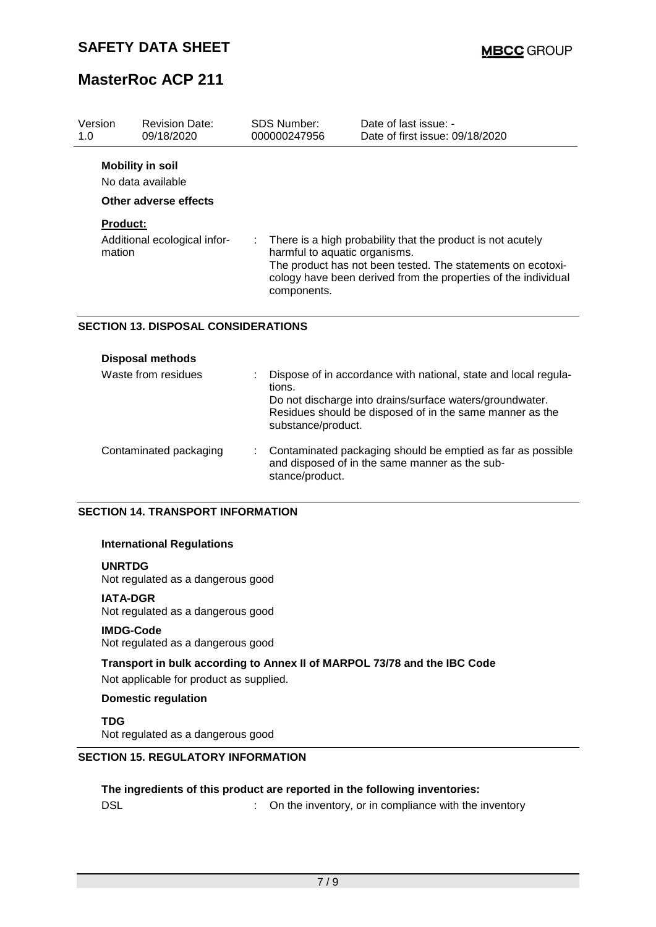| Version<br>1.0            | <b>Revision Date:</b><br>09/18/2020                                   | SDS Number:<br>000000247956                  | Date of last issue: -<br>Date of first issue: 09/18/2020                                                                                                                                     |
|---------------------------|-----------------------------------------------------------------------|----------------------------------------------|----------------------------------------------------------------------------------------------------------------------------------------------------------------------------------------------|
|                           | <b>Mobility in soil</b><br>No data available<br>Other adverse effects |                                              |                                                                                                                                                                                              |
| <b>Product:</b><br>mation | Additional ecological infor-                                          | harmful to aquatic organisms.<br>components. | There is a high probability that the product is not acutely<br>The product has not been tested. The statements on ecotoxi-<br>cology have been derived from the properties of the individual |

### **SECTION 13. DISPOSAL CONSIDERATIONS**

| <b>Disposal methods</b> |                                                                                                                                                                                                                         |
|-------------------------|-------------------------------------------------------------------------------------------------------------------------------------------------------------------------------------------------------------------------|
| Waste from residues     | Dispose of in accordance with national, state and local regula-<br>tions.<br>Do not discharge into drains/surface waters/groundwater.<br>Residues should be disposed of in the same manner as the<br>substance/product. |
| Contaminated packaging  | Contaminated packaging should be emptied as far as possible<br>and disposed of in the same manner as the sub-<br>stance/product.                                                                                        |

### **SECTION 14. TRANSPORT INFORMATION**

### **International Regulations**

### **UNRTDG**

Not regulated as a dangerous good

### **IATA-DGR**

Not regulated as a dangerous good

### **IMDG-Code**

Not regulated as a dangerous good

### **Transport in bulk according to Annex II of MARPOL 73/78 and the IBC Code**

Not applicable for product as supplied.

### **Domestic regulation**

#### **TDG**

Not regulated as a dangerous good

### **SECTION 15. REGULATORY INFORMATION**

### **The ingredients of this product are reported in the following inventories:**

DSL **DISL DISL CONFIDENT:** On the inventory, or in compliance with the inventory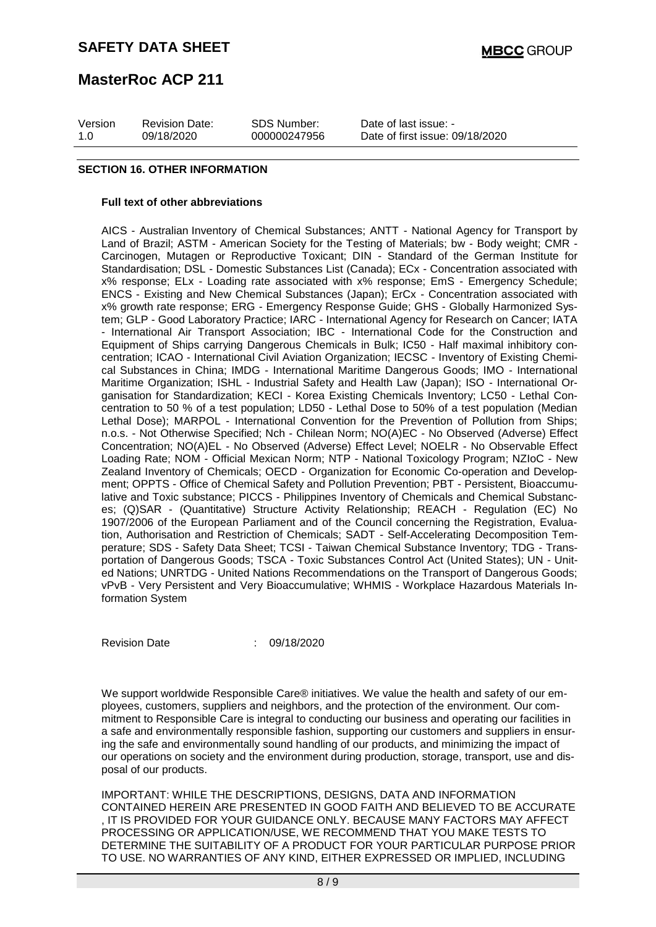| Version | <b>Revision Date:</b> | SDS Number:  | Date of last issue: -           |
|---------|-----------------------|--------------|---------------------------------|
| 1.O     | 09/18/2020            | 000000247956 | Date of first issue: 09/18/2020 |

#### **SECTION 16. OTHER INFORMATION**

#### **Full text of other abbreviations**

AICS - Australian Inventory of Chemical Substances; ANTT - National Agency for Transport by Land of Brazil; ASTM - American Society for the Testing of Materials; bw - Body weight; CMR - Carcinogen, Mutagen or Reproductive Toxicant; DIN - Standard of the German Institute for Standardisation; DSL - Domestic Substances List (Canada); ECx - Concentration associated with x% response; ELx - Loading rate associated with x% response; EmS - Emergency Schedule; ENCS - Existing and New Chemical Substances (Japan); ErCx - Concentration associated with x% growth rate response; ERG - Emergency Response Guide; GHS - Globally Harmonized System; GLP - Good Laboratory Practice; IARC - International Agency for Research on Cancer; IATA - International Air Transport Association; IBC - International Code for the Construction and Equipment of Ships carrying Dangerous Chemicals in Bulk; IC50 - Half maximal inhibitory concentration; ICAO - International Civil Aviation Organization; IECSC - Inventory of Existing Chemical Substances in China; IMDG - International Maritime Dangerous Goods; IMO - International Maritime Organization; ISHL - Industrial Safety and Health Law (Japan); ISO - International Organisation for Standardization; KECI - Korea Existing Chemicals Inventory; LC50 - Lethal Concentration to 50 % of a test population; LD50 - Lethal Dose to 50% of a test population (Median Lethal Dose); MARPOL - International Convention for the Prevention of Pollution from Ships; n.o.s. - Not Otherwise Specified; Nch - Chilean Norm; NO(A)EC - No Observed (Adverse) Effect Concentration; NO(A)EL - No Observed (Adverse) Effect Level; NOELR - No Observable Effect Loading Rate; NOM - Official Mexican Norm; NTP - National Toxicology Program; NZIoC - New Zealand Inventory of Chemicals; OECD - Organization for Economic Co-operation and Development; OPPTS - Office of Chemical Safety and Pollution Prevention; PBT - Persistent, Bioaccumulative and Toxic substance; PICCS - Philippines Inventory of Chemicals and Chemical Substances; (Q)SAR - (Quantitative) Structure Activity Relationship; REACH - Regulation (EC) No 1907/2006 of the European Parliament and of the Council concerning the Registration, Evaluation, Authorisation and Restriction of Chemicals; SADT - Self-Accelerating Decomposition Temperature; SDS - Safety Data Sheet; TCSI - Taiwan Chemical Substance Inventory; TDG - Transportation of Dangerous Goods; TSCA - Toxic Substances Control Act (United States); UN - United Nations; UNRTDG - United Nations Recommendations on the Transport of Dangerous Goods; vPvB - Very Persistent and Very Bioaccumulative; WHMIS - Workplace Hazardous Materials Information System

Revision Date : 09/18/2020

We support worldwide Responsible Care® initiatives. We value the health and safety of our employees, customers, suppliers and neighbors, and the protection of the environment. Our commitment to Responsible Care is integral to conducting our business and operating our facilities in a safe and environmentally responsible fashion, supporting our customers and suppliers in ensuring the safe and environmentally sound handling of our products, and minimizing the impact of our operations on society and the environment during production, storage, transport, use and disposal of our products.

IMPORTANT: WHILE THE DESCRIPTIONS, DESIGNS, DATA AND INFORMATION CONTAINED HEREIN ARE PRESENTED IN GOOD FAITH AND BELIEVED TO BE ACCURATE , IT IS PROVIDED FOR YOUR GUIDANCE ONLY. BECAUSE MANY FACTORS MAY AFFECT PROCESSING OR APPLICATION/USE, WE RECOMMEND THAT YOU MAKE TESTS TO DETERMINE THE SUITABILITY OF A PRODUCT FOR YOUR PARTICULAR PURPOSE PRIOR TO USE. NO WARRANTIES OF ANY KIND, EITHER EXPRESSED OR IMPLIED, INCLUDING